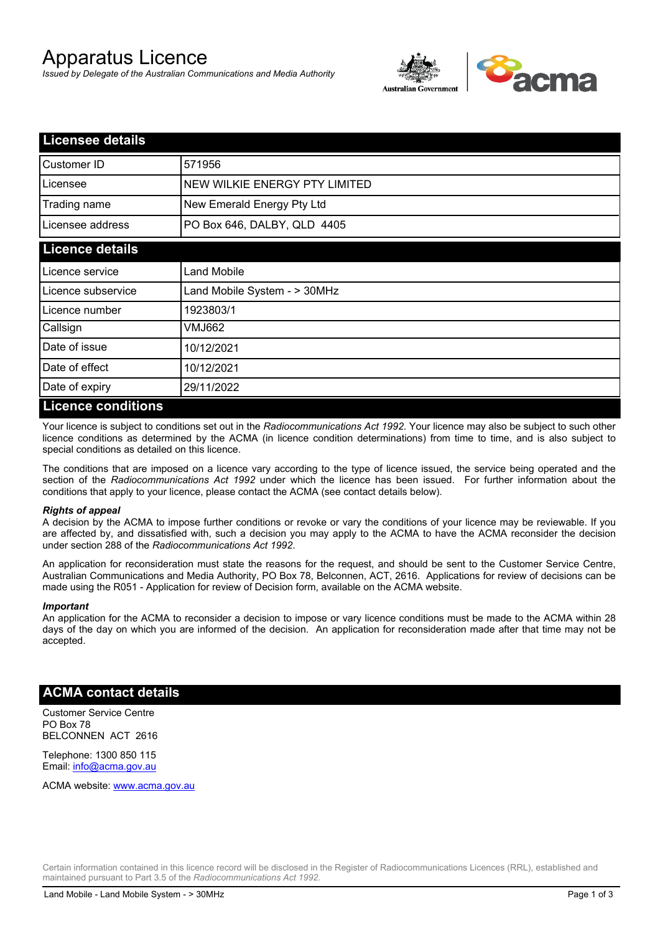# Apparatus Licence

*Issued by Delegate of the Australian Communications and Media Authority*



| <b>Licensee details</b> |                               |
|-------------------------|-------------------------------|
| <b>Customer ID</b>      | 571956                        |
| Licensee                | NEW WILKIE ENERGY PTY LIMITED |
| Trading name            | New Emerald Energy Pty Ltd    |
| Licensee address        | PO Box 646, DALBY, QLD 4405   |
| <b>Licence details</b>  |                               |
| Licence service         | Land Mobile                   |
| Licence subservice      | Land Mobile System - > 30MHz  |
| Licence number          | 1923803/1                     |
| Callsign                | VMJ662                        |
| Date of issue           | 10/12/2021                    |
| Date of effect          | 10/12/2021                    |
| Date of expiry          | 29/11/2022                    |
| I iconco conditione     |                               |

#### **Licence conditions**

Your licence is subject to conditions set out in the *Radiocommunications Act 1992*. Your licence may also be subject to such other licence conditions as determined by the ACMA (in licence condition determinations) from time to time, and is also subject to special conditions as detailed on this licence.

The conditions that are imposed on a licence vary according to the type of licence issued, the service being operated and the section of the *Radiocommunications Act 1992* under which the licence has been issued. For further information about the conditions that apply to your licence, please contact the ACMA (see contact details below).

#### *Rights of appeal*

A decision by the ACMA to impose further conditions or revoke or vary the conditions of your licence may be reviewable. If you are affected by, and dissatisfied with, such a decision you may apply to the ACMA to have the ACMA reconsider the decision under section 288 of the *Radiocommunications Act 1992*.

An application for reconsideration must state the reasons for the request, and should be sent to the Customer Service Centre, Australian Communications and Media Authority, PO Box 78, Belconnen, ACT, 2616. Applications for review of decisions can be made using the R051 - Application for review of Decision form, available on the ACMA website.

#### *Important*

An application for the ACMA to reconsider a decision to impose or vary licence conditions must be made to the ACMA within 28 days of the day on which you are informed of the decision. An application for reconsideration made after that time may not be accepted.

### **ACMA contact details**

Customer Service Centre PO Box 78 BELCONNEN ACT 2616

Telephone: 1300 850 115 Email: info@acma.gov.au

ACMA website: www.acma.gov.au

Certain information contained in this licence record will be disclosed in the Register of Radiocommunications Licences (RRL), established and maintained pursuant to Part 3.5 of the *Radiocommunications Act 1992.*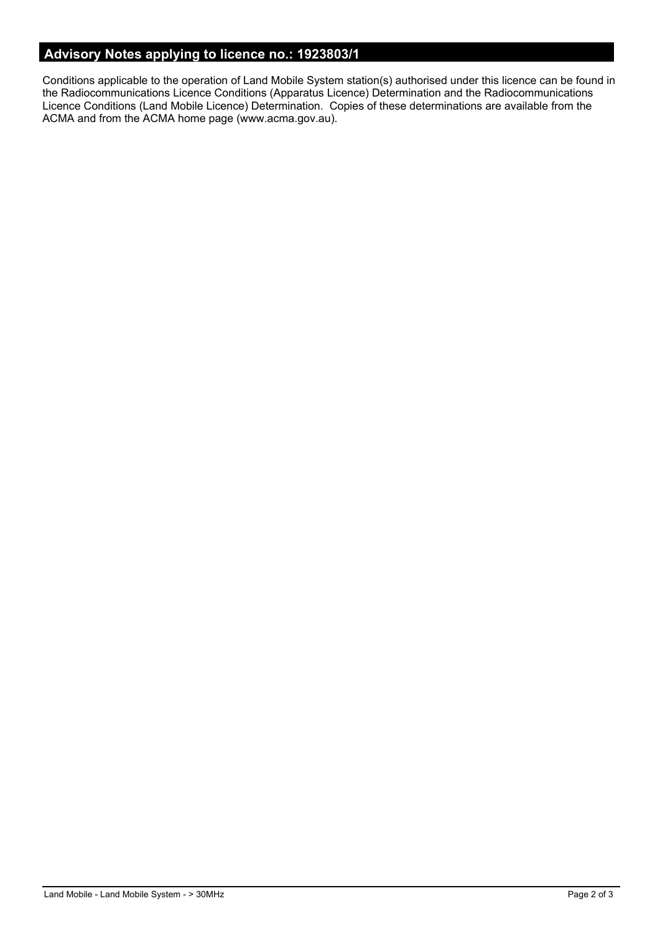# **Advisory Notes applying to licence no.: 1923803/1**

Conditions applicable to the operation of Land Mobile System station(s) authorised under this licence can be found in the Radiocommunications Licence Conditions (Apparatus Licence) Determination and the Radiocommunications Licence Conditions (Land Mobile Licence) Determination. Copies of these determinations are available from the ACMA and from the ACMA home page (www.acma.gov.au).